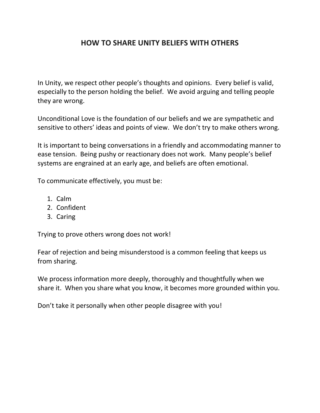# **HOW TO SHARE UNITY BELIEFS WITH OTHERS**

In Unity, we respect other people's thoughts and opinions. Every belief is valid, especially to the person holding the belief. We avoid arguing and telling people they are wrong.

Unconditional Love is the foundation of our beliefs and we are sympathetic and sensitive to others' ideas and points of view. We don't try to make others wrong.

It is important to being conversations in a friendly and accommodating manner to ease tension. Being pushy or reactionary does not work. Many people's belief systems are engrained at an early age, and beliefs are often emotional.

To communicate effectively, you must be:

- 1. Calm
- 2. Confident
- 3. Caring

Trying to prove others wrong does not work!

Fear of rejection and being misunderstood is a common feeling that keeps us from sharing.

We process information more deeply, thoroughly and thoughtfully when we share it. When you share what you know, it becomes more grounded within you.

Don't take it personally when other people disagree with you!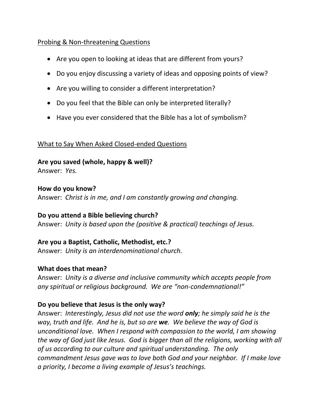### Probing & Non-threatening Questions

- Are you open to looking at ideas that are different from yours?
- Do you enjoy discussing a variety of ideas and opposing points of view?
- Are you willing to consider a different interpretation?
- Do you feel that the Bible can only be interpreted literally?
- Have you ever considered that the Bible has a lot of symbolism?

### What to Say When Asked Closed-ended Questions

**Are you saved (whole, happy & well)?** 

Answer: *Yes.*

### **How do you know?**

Answer: *Christ is in me, and I am constantly growing and changing.* 

### **Do you attend a Bible believing church?**

Answer: *Unity is based upon the (positive & practical) teachings of Jesus.* 

**Are you a Baptist, Catholic, Methodist, etc.?** Answer: *Unity is an interdenominational church.*

### **What does that mean?**

Answer: *Unity is a diverse and inclusive community which accepts people from any spiritual or religious background. We are "non-condemnational!"*

## **Do you believe that Jesus is the only way?**

Answer: *Interestingly, Jesus did not use the word only; he simply said he is the way, truth and life. And he is, but so are we. We believe the way of God is unconditional love. When I respond with compassion to the world, I am showing the way of God just like Jesus. God is bigger than all the religions, working with all of us according to our culture and spiritual understanding. The only commandment Jesus gave was to love both God and your neighbor. If I make love a priority, I become a living example of Jesus's teachings.*